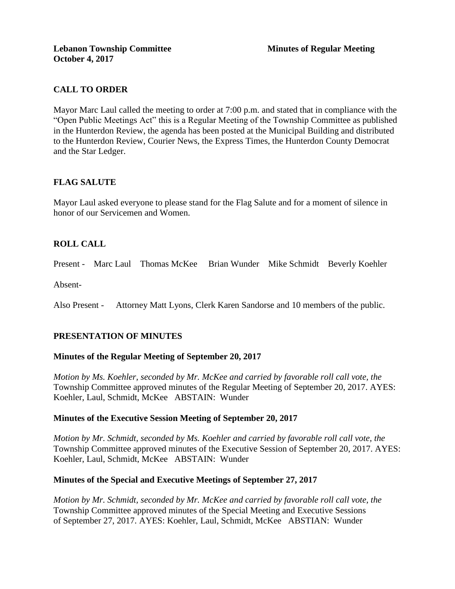# **CALL TO ORDER**

Mayor Marc Laul called the meeting to order at 7:00 p.m. and stated that in compliance with the "Open Public Meetings Act" this is a Regular Meeting of the Township Committee as published in the Hunterdon Review, the agenda has been posted at the Municipal Building and distributed to the Hunterdon Review, Courier News, the Express Times, the Hunterdon County Democrat and the Star Ledger.

# **FLAG SALUTE**

Mayor Laul asked everyone to please stand for the Flag Salute and for a moment of silence in honor of our Servicemen and Women.

# **ROLL CALL**

Present - Marc Laul Thomas McKee Brian Wunder Mike Schmidt Beverly Koehler

Absent-

Also Present - Attorney Matt Lyons, Clerk Karen Sandorse and 10 members of the public.

# **PRESENTATION OF MINUTES**

#### **Minutes of the Regular Meeting of September 20, 2017**

*Motion by Ms. Koehler, seconded by Mr. McKee and carried by favorable roll call vote, the*  Township Committee approved minutes of the Regular Meeting of September 20, 2017. AYES: Koehler, Laul, Schmidt, McKee ABSTAIN: Wunder

#### **Minutes of the Executive Session Meeting of September 20, 2017**

*Motion by Mr. Schmidt, seconded by Ms. Koehler and carried by favorable roll call vote, the* Township Committee approved minutes of the Executive Session of September 20, 2017. AYES: Koehler, Laul, Schmidt, McKee ABSTAIN: Wunder

# **Minutes of the Special and Executive Meetings of September 27, 2017**

*Motion by Mr. Schmidt, seconded by Mr. McKee and carried by favorable roll call vote, the* Township Committee approved minutes of the Special Meeting and Executive Sessions of September 27, 2017. AYES: Koehler, Laul, Schmidt, McKee ABSTIAN: Wunder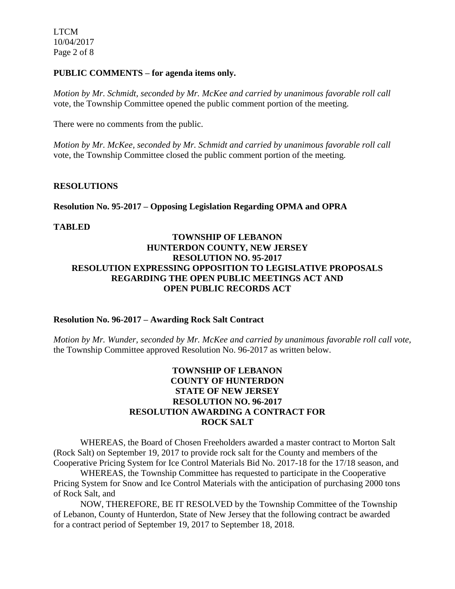LTCM 10/04/2017 Page 2 of 8

#### **PUBLIC COMMENTS – for agenda items only.**

*Motion by Mr. Schmidt, seconded by Mr. McKee and carried by unanimous favorable roll call*  vote, the Township Committee opened the public comment portion of the meeting.

There were no comments from the public.

*Motion by Mr. McKee, seconded by Mr. Schmidt and carried by unanimous favorable roll call*  vote, the Township Committee closed the public comment portion of the meeting.

#### **RESOLUTIONS**

#### **Resolution No. 95-2017 – Opposing Legislation Regarding OPMA and OPRA**

#### **TABLED**

## **TOWNSHIP OF LEBANON HUNTERDON COUNTY, NEW JERSEY RESOLUTION NO. 95-2017 RESOLUTION EXPRESSING OPPOSITION TO LEGISLATIVE PROPOSALS REGARDING THE OPEN PUBLIC MEETINGS ACT AND OPEN PUBLIC RECORDS ACT**

#### **Resolution No. 96-2017 – Awarding Rock Salt Contract**

*Motion by Mr. Wunder, seconded by Mr. McKee and carried by unanimous favorable roll call vote,* the Township Committee approved Resolution No. 96-2017 as written below.

## **TOWNSHIP OF LEBANON COUNTY OF HUNTERDON STATE OF NEW JERSEY RESOLUTION NO. 96-2017 RESOLUTION AWARDING A CONTRACT FOR ROCK SALT**

WHEREAS, the Board of Chosen Freeholders awarded a master contract to Morton Salt (Rock Salt) on September 19, 2017 to provide rock salt for the County and members of the Cooperative Pricing System for Ice Control Materials Bid No. 2017-18 for the 17/18 season, and

WHEREAS, the Township Committee has requested to participate in the Cooperative Pricing System for Snow and Ice Control Materials with the anticipation of purchasing 2000 tons of Rock Salt, and

NOW, THEREFORE, BE IT RESOLVED by the Township Committee of the Township of Lebanon, County of Hunterdon, State of New Jersey that the following contract be awarded for a contract period of September 19, 2017 to September 18, 2018.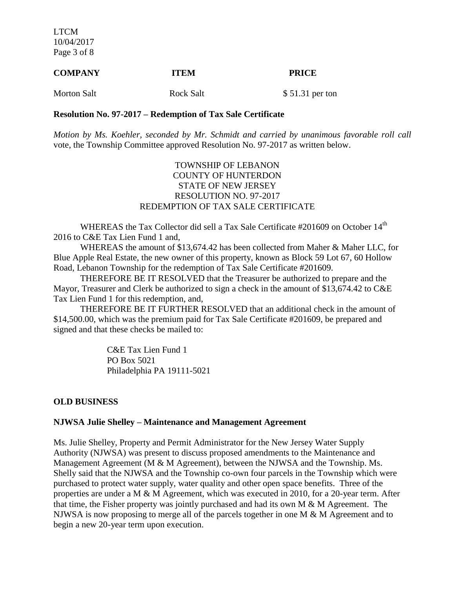LTCM 10/04/2017 Page 3 of 8

# **COMPANY ITEM PRICE** Morton Salt Rock Salt \$ 51.31 per ton

## **Resolution No. 97-2017 – Redemption of Tax Sale Certificate**

*Motion by Ms. Koehler, seconded by Mr. Schmidt and carried by unanimous favorable roll call*  vote, the Township Committee approved Resolution No. 97-2017 as written below.

#### TOWNSHIP OF LEBANON COUNTY OF HUNTERDON STATE OF NEW JERSEY RESOLUTION NO. 97-2017 REDEMPTION OF TAX SALE CERTIFICATE

WHEREAS the Tax Collector did sell a Tax Sale Certificate #201609 on October 14<sup>th</sup> 2016 to C&E Tax Lien Fund 1 and,

WHEREAS the amount of \$13,674.42 has been collected from Maher & Maher LLC, for Blue Apple Real Estate, the new owner of this property, known as Block 59 Lot 67, 60 Hollow Road, Lebanon Township for the redemption of Tax Sale Certificate #201609.

THEREFORE BE IT RESOLVED that the Treasurer be authorized to prepare and the Mayor, Treasurer and Clerk be authorized to sign a check in the amount of \$13,674.42 to C&E Tax Lien Fund 1 for this redemption, and,

THEREFORE BE IT FURTHER RESOLVED that an additional check in the amount of \$14,500.00, which was the premium paid for Tax Sale Certificate #201609, be prepared and signed and that these checks be mailed to:

> C&E Tax Lien Fund 1 PO Box 5021 Philadelphia PA 19111-5021

# **OLD BUSINESS**

#### **NJWSA Julie Shelley – Maintenance and Management Agreement**

Ms. Julie Shelley, Property and Permit Administrator for the New Jersey Water Supply Authority (NJWSA) was present to discuss proposed amendments to the Maintenance and Management Agreement (M & M Agreement), between the NJWSA and the Township. Ms. Shelly said that the NJWSA and the Township co-own four parcels in the Township which were purchased to protect water supply, water quality and other open space benefits. Three of the properties are under a M & M Agreement, which was executed in 2010, for a 20-year term. After that time, the Fisher property was jointly purchased and had its own M & M Agreement. The NJWSA is now proposing to merge all of the parcels together in one M & M Agreement and to begin a new 20-year term upon execution.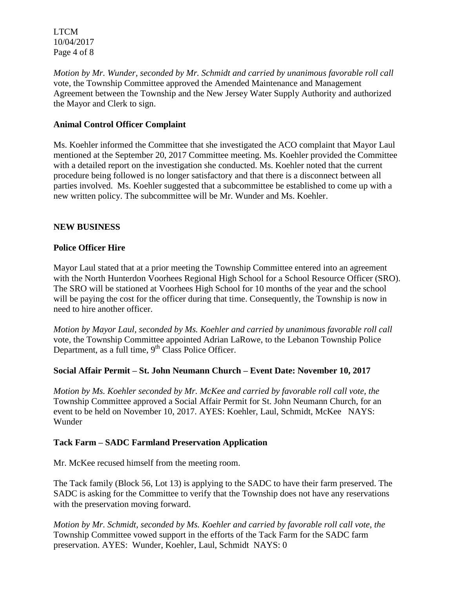LTCM 10/04/2017 Page 4 of 8

*Motion by Mr. Wunder, seconded by Mr. Schmidt and carried by unanimous favorable roll call* vote, the Township Committee approved the Amended Maintenance and Management Agreement between the Township and the New Jersey Water Supply Authority and authorized the Mayor and Clerk to sign.

## **Animal Control Officer Complaint**

Ms. Koehler informed the Committee that she investigated the ACO complaint that Mayor Laul mentioned at the September 20, 2017 Committee meeting. Ms. Koehler provided the Committee with a detailed report on the investigation she conducted. Ms. Koehler noted that the current procedure being followed is no longer satisfactory and that there is a disconnect between all parties involved. Ms. Koehler suggested that a subcommittee be established to come up with a new written policy. The subcommittee will be Mr. Wunder and Ms. Koehler.

## **NEW BUSINESS**

## **Police Officer Hire**

Mayor Laul stated that at a prior meeting the Township Committee entered into an agreement with the North Hunterdon Voorhees Regional High School for a School Resource Officer (SRO). The SRO will be stationed at Voorhees High School for 10 months of the year and the school will be paying the cost for the officer during that time. Consequently, the Township is now in need to hire another officer.

*Motion by Mayor Laul, seconded by Ms. Koehler and carried by unanimous favorable roll call* vote, the Township Committee appointed Adrian LaRowe, to the Lebanon Township Police Department, as a full time, 9<sup>th</sup> Class Police Officer.

#### **Social Affair Permit – St. John Neumann Church – Event Date: November 10, 2017**

*Motion by Ms. Koehler seconded by Mr. McKee and carried by favorable roll call vote, the* Township Committee approved a Social Affair Permit for St. John Neumann Church, for an event to be held on November 10, 2017. AYES: Koehler, Laul, Schmidt, McKee NAYS: Wunder

#### **Tack Farm – SADC Farmland Preservation Application**

Mr. McKee recused himself from the meeting room.

The Tack family (Block 56, Lot 13) is applying to the SADC to have their farm preserved. The SADC is asking for the Committee to verify that the Township does not have any reservations with the preservation moving forward.

*Motion by Mr. Schmidt, seconded by Ms. Koehler and carried by favorable roll call vote, the*  Township Committee vowed support in the efforts of the Tack Farm for the SADC farm preservation. AYES: Wunder, Koehler, Laul, Schmidt NAYS: 0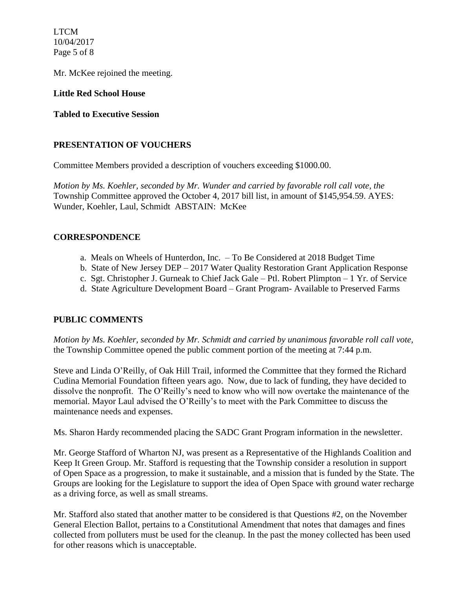LTCM 10/04/2017 Page 5 of 8

Mr. McKee rejoined the meeting.

## **Little Red School House**

**Tabled to Executive Session**

## **PRESENTATION OF VOUCHERS**

Committee Members provided a description of vouchers exceeding \$1000.00.

*Motion by Ms. Koehler, seconded by Mr. Wunder and carried by favorable roll call vote, the* Township Committee approved the October 4, 2017 bill list, in amount of \$145,954.59. AYES: Wunder, Koehler, Laul, Schmidt ABSTAIN: McKee

## **CORRESPONDENCE**

- a. Meals on Wheels of Hunterdon, Inc. To Be Considered at 2018 Budget Time
- b. State of New Jersey DEP 2017 Water Quality Restoration Grant Application Response
- c. Sgt. Christopher J. Gurneak to Chief Jack Gale Ptl. Robert Plimpton 1 Yr. of Service
- d. State Agriculture Development Board Grant Program- Available to Preserved Farms

# **PUBLIC COMMENTS**

*Motion by Ms. Koehler, seconded by Mr. Schmidt and carried by unanimous favorable roll call vote,* the Township Committee opened the public comment portion of the meeting at 7:44 p.m.

Steve and Linda O'Reilly, of Oak Hill Trail, informed the Committee that they formed the Richard Cudina Memorial Foundation fifteen years ago. Now, due to lack of funding, they have decided to dissolve the nonprofit. The O'Reilly's need to know who will now overtake the maintenance of the memorial. Mayor Laul advised the O'Reilly's to meet with the Park Committee to discuss the maintenance needs and expenses.

Ms. Sharon Hardy recommended placing the SADC Grant Program information in the newsletter.

Mr. George Stafford of Wharton NJ, was present as a Representative of the Highlands Coalition and Keep It Green Group. Mr. Stafford is requesting that the Township consider a resolution in support of Open Space as a progression, to make it sustainable, and a mission that is funded by the State. The Groups are looking for the Legislature to support the idea of Open Space with ground water recharge as a driving force, as well as small streams.

Mr. Stafford also stated that another matter to be considered is that Questions #2, on the November General Election Ballot, pertains to a Constitutional Amendment that notes that damages and fines collected from polluters must be used for the cleanup. In the past the money collected has been used for other reasons which is unacceptable.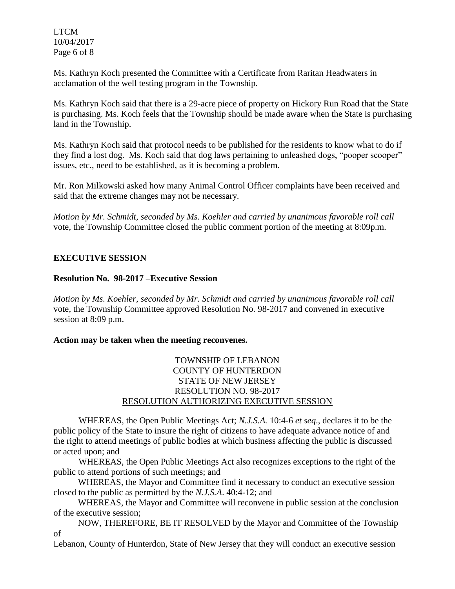LTCM 10/04/2017 Page 6 of 8

Ms. Kathryn Koch presented the Committee with a Certificate from Raritan Headwaters in acclamation of the well testing program in the Township.

Ms. Kathryn Koch said that there is a 29-acre piece of property on Hickory Run Road that the State is purchasing. Ms. Koch feels that the Township should be made aware when the State is purchasing land in the Township.

Ms. Kathryn Koch said that protocol needs to be published for the residents to know what to do if they find a lost dog. Ms. Koch said that dog laws pertaining to unleashed dogs, "pooper scooper" issues, etc., need to be established, as it is becoming a problem.

Mr. Ron Milkowski asked how many Animal Control Officer complaints have been received and said that the extreme changes may not be necessary.

*Motion by Mr. Schmidt, seconded by Ms. Koehler and carried by unanimous favorable roll call*  vote, the Township Committee closed the public comment portion of the meeting at 8:09p.m.

# **EXECUTIVE SESSION**

## **Resolution No. 98-2017 –Executive Session**

*Motion by Ms. Koehler, seconded by Mr. Schmidt and carried by unanimous favorable roll call* vote*,* the Township Committee approved Resolution No. 98-2017 and convened in executive session at 8:09 p.m.

#### **Action may be taken when the meeting reconvenes.**

# TOWNSHIP OF LEBANON COUNTY OF HUNTERDON STATE OF NEW JERSEY RESOLUTION NO. 98-2017 RESOLUTION AUTHORIZING EXECUTIVE SESSION

WHEREAS, the Open Public Meetings Act; *N.J.S.A.* 10:4-6 *et seq*., declares it to be the public policy of the State to insure the right of citizens to have adequate advance notice of and the right to attend meetings of public bodies at which business affecting the public is discussed or acted upon; and

WHEREAS, the Open Public Meetings Act also recognizes exceptions to the right of the public to attend portions of such meetings; and

 WHEREAS, the Mayor and Committee find it necessary to conduct an executive session closed to the public as permitted by the *N.J.S.A*. 40:4-12; and

 WHEREAS, the Mayor and Committee will reconvene in public session at the conclusion of the executive session;

 NOW, THEREFORE, BE IT RESOLVED by the Mayor and Committee of the Township of

Lebanon, County of Hunterdon, State of New Jersey that they will conduct an executive session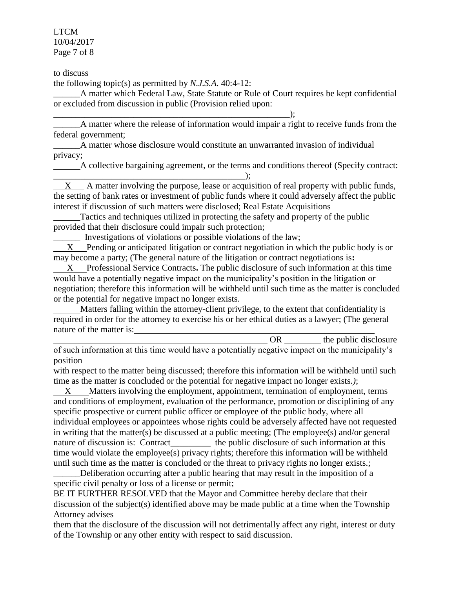LTCM 10/04/2017 Page 7 of 8

to discuss

the following topic(s) as permitted by *N.J.S.A*. 40:4-12:

A matter which Federal Law, State Statute or Rule of Court requires be kept confidential or excluded from discussion in public (Provision relied upon:

\_\_\_\_\_\_\_\_\_\_\_\_\_\_\_\_\_\_\_\_\_\_\_\_\_\_\_\_\_\_\_\_\_\_\_\_\_\_\_\_\_\_\_\_\_\_\_\_\_\_\_\_\_); A matter where the release of information would impair a right to receive funds from the federal government;

\_\_\_\_\_\_A matter whose disclosure would constitute an unwarranted invasion of individual privacy;

A collective bargaining agreement, or the terms and conditions thereof (Specify contract:

 $\longrightarrow$  ;  $\longrightarrow$  ;  $\longrightarrow$  ;  $\longrightarrow$  ;  $\longrightarrow$  ;  $\longrightarrow$  ;  $\longrightarrow$  ;  $\longrightarrow$  ;  $\longrightarrow$  ;  $\longrightarrow$  ;  $\longrightarrow$  ;  $\longrightarrow$  ;  $\longrightarrow$  ;  $\longrightarrow$  ;  $\longrightarrow$  ;  $\longrightarrow$  ;  $\longrightarrow$  ;  $\longrightarrow$  ;  $\longrightarrow$  ;  $\longrightarrow$  ;  $\longrightarrow$  ;  $\longrightarrow$  ;  $\longrightarrow$  ;  $\longrightarrow$  ;  $\longrightarrow$  ;  $\longrightarrow$  ;  $\longrightarrow$  ;  $\longrightarrow$  ;  $\longrightarrow$  ;  $\longrightarrow$  ;  $\longrightarrow$  ;  $\longrightarrow$  $X$  A matter involving the purpose, lease or acquisition of real property with public funds, the setting of bank rates or investment of public funds where it could adversely affect the public interest if discussion of such matters were disclosed; Real Estate Acquisitions

Tactics and techniques utilized in protecting the safety and property of the public provided that their disclosure could impair such protection;

\_\_\_\_\_\_ Investigations of violations or possible violations of the law;

 X Pending or anticipated litigation or contract negotiation in which the public body is or may become a party; (The general nature of the litigation or contract negotiations is**:** 

 X Professional Service Contracts**.** The public disclosure of such information at this time would have a potentially negative impact on the municipality's position in the litigation or negotiation; therefore this information will be withheld until such time as the matter is concluded or the potential for negative impact no longer exists.

 Matters falling within the attorney-client privilege, to the extent that confidentiality is required in order for the attorney to exercise his or her ethical duties as a lawyer; (The general nature of the matter is:

OR the public disclosure of such information at this time would have a potentially negative impact on the municipality's position

with respect to the matter being discussed; therefore this information will be withheld until such time as the matter is concluded or the potential for negative impact no longer exists.*)*;

 X Matters involving the employment, appointment, termination of employment, terms and conditions of employment, evaluation of the performance, promotion or disciplining of any specific prospective or current public officer or employee of the public body, where all individual employees or appointees whose rights could be adversely affected have not requested in writing that the matter(s) be discussed at a public meeting; (The employee(s) and/or general nature of discussion is: Contract the public disclosure of such information at this time would violate the employee(s) privacy rights; therefore this information will be withheld until such time as the matter is concluded or the threat to privacy rights no longer exists.;

Deliberation occurring after a public hearing that may result in the imposition of a specific civil penalty or loss of a license or permit;

BE IT FURTHER RESOLVED that the Mayor and Committee hereby declare that their discussion of the subject(s) identified above may be made public at a time when the Township Attorney advises

them that the disclosure of the discussion will not detrimentally affect any right, interest or duty of the Township or any other entity with respect to said discussion.